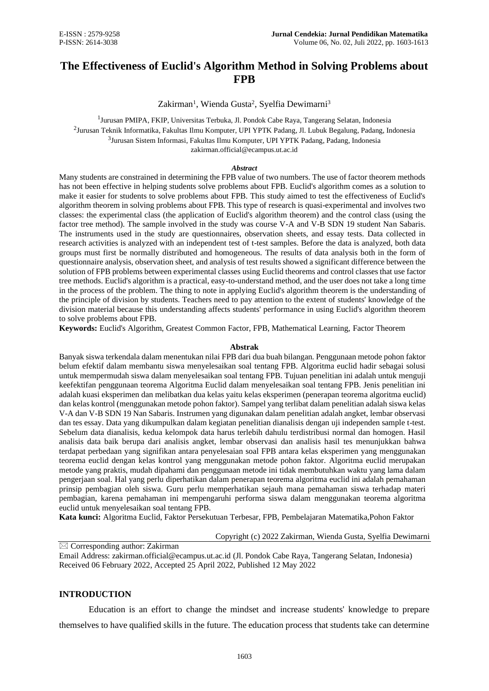# **The Effectiveness of Euclid's Algorithm Method in Solving Problems about FPB**

Zakirman<sup>1</sup>, Wienda Gusta<sup>2</sup>, Syelfia Dewimarni<sup>3</sup>

<sup>1</sup> Jurusan PMIPA, FKIP, Universitas Terbuka, Jl. Pondok Cabe Raya, Tangerang Selatan, Indonesia  $^2$ Jurusan Teknik Informatika, Fakultas Ilmu Komputer, UPI YPTK Padang, Jl. Lubuk Begalung, Padang, Indonesia 3 Jurusan Sistem Informasi, Fakultas Ilmu Komputer, UPI YPTK Padang, Padang, Indonesia [zakirman.official@ecampus.ut.ac.id](mailto:zakirman.official@ecampus.ut.ac.id)

### *Abstract*

Many students are constrained in determining the FPB value of two numbers. The use of factor theorem methods has not been effective in helping students solve problems about FPB. Euclid's algorithm comes as a solution to make it easier for students to solve problems about FPB. This study aimed to test the effectiveness of Euclid's algorithm theorem in solving problems about FPB. This type of research is quasi-experimental and involves two classes: the experimental class (the application of Euclid's algorithm theorem) and the control class (using the factor tree method). The sample involved in the study was course V-A and V-B SDN 19 student Nan Sabaris. The instruments used in the study are questionnaires, observation sheets, and essay tests. Data collected in research activities is analyzed with an independent test of t-test samples. Before the data is analyzed, both data groups must first be normally distributed and homogeneous. The results of data analysis both in the form of questionnaire analysis, observation sheet, and analysis of test results showed a significant difference between the solution of FPB problems between experimental classes using Euclid theorems and control classes that use factor tree methods. Euclid's algorithm is a practical, easy-to-understand method, and the user does not take a long time in the process of the problem. The thing to note in applying Euclid's algorithm theorem is the understanding of the principle of division by students. Teachers need to pay attention to the extent of students' knowledge of the division material because this understanding affects students' performance in using Euclid's algorithm theorem to solve problems about FPB.

**Keywords:** Euclid's Algorithm, Greatest Common Factor, FPB, Mathematical Learning, Factor Theorem

### **Abstrak**

Banyak siswa terkendala dalam menentukan nilai FPB dari dua buah bilangan. Penggunaan metode pohon faktor belum efektif dalam membantu siswa menyelesaikan soal tentang FPB. Algoritma euclid hadir sebagai solusi untuk mempermudah siswa dalam menyelesaikan soal tentang FPB. Tujuan penelitian ini adalah untuk menguji keefektifan penggunaan teorema Algoritma Euclid dalam menyelesaikan soal tentang FPB. Jenis penelitian ini adalah kuasi eksperimen dan melibatkan dua kelas yaitu kelas eksperimen (penerapan teorema algoritma euclid) dan kelas kontrol (menggunakan metode pohon faktor). Sampel yang terlibat dalam penelitian adalah siswa kelas V-A dan V-B SDN 19 Nan Sabaris. Instrumen yang digunakan dalam penelitian adalah angket, lembar observasi dan tes essay. Data yang dikumpulkan dalam kegiatan penelitian dianalisis dengan uji independen sample t-test. Sebelum data dianalisis, kedua kelompok data harus terlebih dahulu terdistribusi normal dan homogen. Hasil analisis data baik berupa dari analisis angket, lembar observasi dan analisis hasil tes menunjukkan bahwa terdapat perbedaan yang signifikan antara penyelesaian soal FPB antara kelas eksperimen yang menggunakan teorema euclid dengan kelas kontrol yang menggunakan metode pohon faktor. Algoritma euclid merupakan metode yang praktis, mudah dipahami dan penggunaan metode ini tidak membutuhkan waktu yang lama dalam pengerjaan soal. Hal yang perlu diperhatikan dalam penerapan teorema algoritma euclid ini adalah pemahaman prinsip pembagian oleh siswa. Guru perlu memperhatikan sejauh mana pemahaman siswa terhadap materi pembagian, karena pemahaman ini mempengaruhi performa siswa dalam menggunakan teorema algoritma euclid untuk menyelesaikan soal tentang FPB.

**Kata kunci:** Algoritma Euclid, Faktor Persekutuan Terbesar, FPB, Pembelajaran Matematika,Pohon Faktor

### Copyright (c) 2022 Zakirman, Wienda Gusta, Syelfia Dewimarni

 $\overline{\boxtimes}$  Corresponding author: Zakirman

Email Address: [zakirman.official@ecampus.ut.ac.id](mailto:zakirman.official@ecampus.ut.ac.id) (Jl. Pondok Cabe Raya, Tangerang Selatan, Indonesia) Received 06 February 2022, Accepted 25 April 2022, Published 12 May 2022

### **INTRODUCTION**

Education is an effort to change the mindset and increase students' knowledge to prepare themselves to have qualified skills in the future. The education process that students take can determine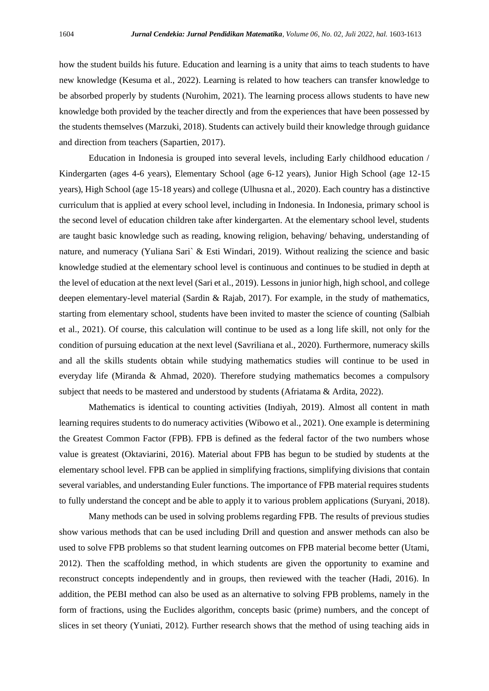how the student builds his future. Education and learning is a unity that aims to teach students to have new knowledge (Kesuma et al., 2022). Learning is related to how teachers can transfer knowledge to be absorbed properly by students (Nurohim, 2021). The learning process allows students to have new knowledge both provided by the teacher directly and from the experiences that have been possessed by the students themselves (Marzuki, 2018). Students can actively build their knowledge through guidance and direction from teachers (Sapartien, 2017).

Education in Indonesia is grouped into several levels, including Early childhood education / Kindergarten (ages 4-6 years), Elementary School (age 6-12 years), Junior High School (age 12-15 years), High School (age 15-18 years) and college (Ulhusna et al., 2020). Each country has a distinctive curriculum that is applied at every school level, including in Indonesia. In Indonesia, primary school is the second level of education children take after kindergarten. At the elementary school level, students are taught basic knowledge such as reading, knowing religion, behaving/ behaving, understanding of nature, and numeracy (Yuliana Sari` & Esti Windari, 2019). Without realizing the science and basic knowledge studied at the elementary school level is continuous and continues to be studied in depth at the level of education at the next level (Sari et al., 2019). Lessons in junior high, high school, and college deepen elementary-level material (Sardin & Rajab, 2017). For example, in the study of mathematics, starting from elementary school, students have been invited to master the science of counting (Salbiah et al., 2021). Of course, this calculation will continue to be used as a long life skill, not only for the condition of pursuing education at the next level (Savriliana et al., 2020). Furthermore, numeracy skills and all the skills students obtain while studying mathematics studies will continue to be used in everyday life (Miranda & Ahmad, 2020). Therefore studying mathematics becomes a compulsory subject that needs to be mastered and understood by students (Afriatama & Ardita, 2022).

Mathematics is identical to counting activities (Indiyah, 2019). Almost all content in math learning requires students to do numeracy activities (Wibowo et al., 2021). One example is determining the Greatest Common Factor (FPB). FPB is defined as the federal factor of the two numbers whose value is greatest (Oktaviarini, 2016). Material about FPB has begun to be studied by students at the elementary school level. FPB can be applied in simplifying fractions, simplifying divisions that contain several variables, and understanding Euler functions. The importance of FPB material requires students to fully understand the concept and be able to apply it to various problem applications (Suryani, 2018).

Many methods can be used in solving problems regarding FPB. The results of previous studies show various methods that can be used including Drill and question and answer methods can also be used to solve FPB problems so that student learning outcomes on FPB material become better (Utami, 2012). Then the scaffolding method, in which students are given the opportunity to examine and reconstruct concepts independently and in groups, then reviewed with the teacher (Hadi, 2016). In addition, the PEBI method can also be used as an alternative to solving FPB problems, namely in the form of fractions, using the Euclides algorithm, concepts basic (prime) numbers, and the concept of slices in set theory (Yuniati, 2012). Further research shows that the method of using teaching aids in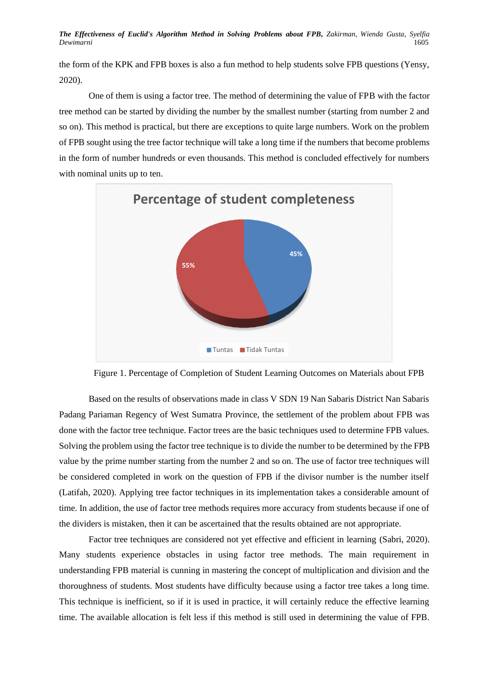**The Effectiveness of Euclid's Algorithm Method in Solving Problems about FPB, Zakirman, Wienda Gusta, Syelfia <br>1605 -***Dewimarni* 1605

the form of the KPK and FPB boxes is also a fun method to help students solve FPB questions (Yensy, 2020).

One of them is using a factor tree. The method of determining the value of FPB with the factor tree method can be started by dividing the number by the smallest number (starting from number 2 and so on). This method is practical, but there are exceptions to quite large numbers. Work on the problem of FPB sought using the tree factor technique will take a long time if the numbers that become problems in the form of number hundreds or even thousands. This method is concluded effectively for numbers with nominal units up to ten.



Figure 1. Percentage of Completion of Student Learning Outcomes on Materials about FPB

Based on the results of observations made in class V SDN 19 Nan Sabaris District Nan Sabaris Padang Pariaman Regency of West Sumatra Province, the settlement of the problem about FPB was done with the factor tree technique. Factor trees are the basic techniques used to determine FPB values. Solving the problem using the factor tree technique is to divide the number to be determined by the FPB value by the prime number starting from the number 2 and so on. The use of factor tree techniques will be considered completed in work on the question of FPB if the divisor number is the number itself (Latifah, 2020). Applying tree factor techniques in its implementation takes a considerable amount of time. In addition, the use of factor tree methods requires more accuracy from students because if one of the dividers is mistaken, then it can be ascertained that the results obtained are not appropriate.

Factor tree techniques are considered not yet effective and efficient in learning (Sabri, 2020). Many students experience obstacles in using factor tree methods. The main requirement in understanding FPB material is cunning in mastering the concept of multiplication and division and the thoroughness of students. Most students have difficulty because using a factor tree takes a long time. This technique is inefficient, so if it is used in practice, it will certainly reduce the effective learning time. The available allocation is felt less if this method is still used in determining the value of FPB.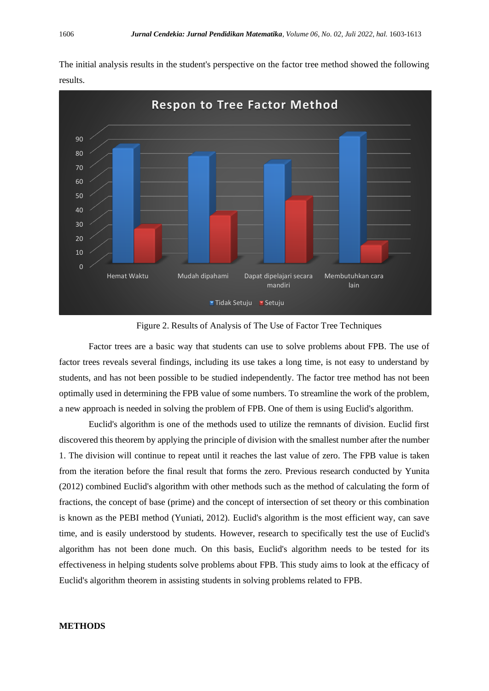$\overline{0}$ 10 20 30 40 50 60 70  $80$ 90 Hemat Waktu Mudah dipahami Dapat dipelajari secara mandiri Membutuhkan cara lain **Respon to Tree Factor Method T** Tidak Setuju ■ Setuju

The initial analysis results in the student's perspective on the factor tree method showed the following results.

Figure 2. Results of Analysis of The Use of Factor Tree Techniques

Factor trees are a basic way that students can use to solve problems about FPB. The use of factor trees reveals several findings, including its use takes a long time, is not easy to understand by students, and has not been possible to be studied independently. The factor tree method has not been optimally used in determining the FPB value of some numbers. To streamline the work of the problem, a new approach is needed in solving the problem of FPB. One of them is using Euclid's algorithm.

Euclid's algorithm is one of the methods used to utilize the remnants of division. Euclid first discovered this theorem by applying the principle of division with the smallest number after the number 1. The division will continue to repeat until it reaches the last value of zero. The FPB value is taken from the iteration before the final result that forms the zero. Previous research conducted by Yunita (2012) combined Euclid's algorithm with other methods such as the method of calculating the form of fractions, the concept of base (prime) and the concept of intersection of set theory or this combination is known as the PEBI method (Yuniati, 2012). Euclid's algorithm is the most efficient way, can save time, and is easily understood by students. However, research to specifically test the use of Euclid's algorithm has not been done much. On this basis, Euclid's algorithm needs to be tested for its effectiveness in helping students solve problems about FPB. This study aims to look at the efficacy of Euclid's algorithm theorem in assisting students in solving problems related to FPB.

# **METHODS**

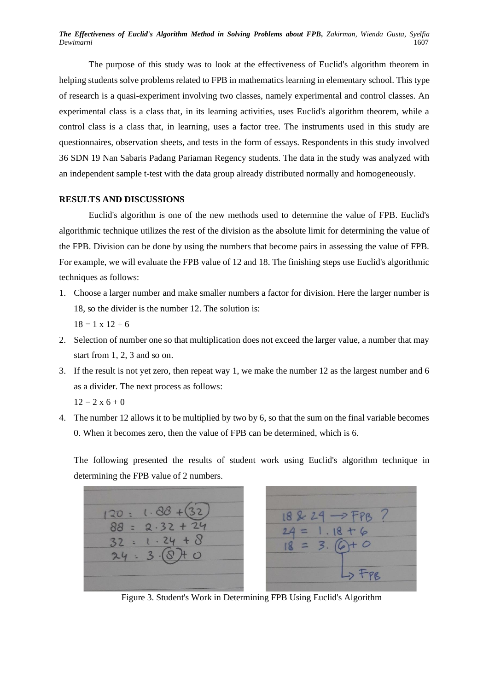**The Effectiveness of Euclid's Algorithm Method in Solving Problems about FPB,** Zakirman, Wienda Gusta, Syelfia **Dewimarni** *Dewimarni* 1607

The purpose of this study was to look at the effectiveness of Euclid's algorithm theorem in helping students solve problems related to FPB in mathematics learning in elementary school. This type of research is a quasi-experiment involving two classes, namely experimental and control classes. An experimental class is a class that, in its learning activities, uses Euclid's algorithm theorem, while a control class is a class that, in learning, uses a factor tree. The instruments used in this study are questionnaires, observation sheets, and tests in the form of essays. Respondents in this study involved 36 SDN 19 Nan Sabaris Padang Pariaman Regency students. The data in the study was analyzed with an independent sample t-test with the data group already distributed normally and homogeneously.

## **RESULTS AND DISCUSSIONS**

Euclid's algorithm is one of the new methods used to determine the value of FPB. Euclid's algorithmic technique utilizes the rest of the division as the absolute limit for determining the value of the FPB. Division can be done by using the numbers that become pairs in assessing the value of FPB. For example, we will evaluate the FPB value of 12 and 18. The finishing steps use Euclid's algorithmic techniques as follows:

- 1. Choose a larger number and make smaller numbers a factor for division. Here the larger number is 18, so the divider is the number 12. The solution is:  $18 = 1 \times 12 + 6$
- 2. Selection of number one so that multiplication does not exceed the larger value, a number that may start from 1, 2, 3 and so on.
- 3. If the result is not yet zero, then repeat way 1, we make the number 12 as the largest number and 6 as a divider. The next process as follows:  $12 = 2 \times 6 + 0$
- 4. The number 12 allows it to be multiplied by two by 6, so that the sum on the final variable becomes 0. When it becomes zero, then the value of FPB can be determined, which is 6.

The following presented the results of student work using Euclid's algorithm technique in determining the FPB value of 2 numbers.



Figure 3. Student's Work in Determining FPB Using Euclid's Algorithm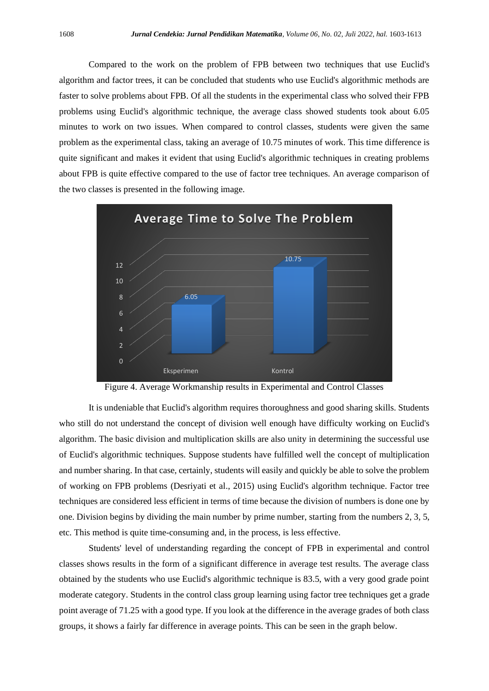Compared to the work on the problem of FPB between two techniques that use Euclid's algorithm and factor trees, it can be concluded that students who use Euclid's algorithmic methods are faster to solve problems about FPB. Of all the students in the experimental class who solved their FPB problems using Euclid's algorithmic technique, the average class showed students took about 6.05 minutes to work on two issues. When compared to control classes, students were given the same problem as the experimental class, taking an average of 10.75 minutes of work. This time difference is quite significant and makes it evident that using Euclid's algorithmic techniques in creating problems about FPB is quite effective compared to the use of factor tree techniques. An average comparison of the two classes is presented in the following image.



Figure 4. Average Workmanship results in Experimental and Control Classes

It is undeniable that Euclid's algorithm requires thoroughness and good sharing skills. Students who still do not understand the concept of division well enough have difficulty working on Euclid's algorithm. The basic division and multiplication skills are also unity in determining the successful use of Euclid's algorithmic techniques. Suppose students have fulfilled well the concept of multiplication and number sharing. In that case, certainly, students will easily and quickly be able to solve the problem of working on FPB problems (Desriyati et al., 2015) using Euclid's algorithm technique. Factor tree techniques are considered less efficient in terms of time because the division of numbers is done one by one. Division begins by dividing the main number by prime number, starting from the numbers 2, 3, 5, etc. This method is quite time-consuming and, in the process, is less effective.

Students' level of understanding regarding the concept of FPB in experimental and control classes shows results in the form of a significant difference in average test results. The average class obtained by the students who use Euclid's algorithmic technique is 83.5, with a very good grade point moderate category. Students in the control class group learning using factor tree techniques get a grade point average of 71.25 with a good type. If you look at the difference in the average grades of both class groups, it shows a fairly far difference in average points. This can be seen in the graph below.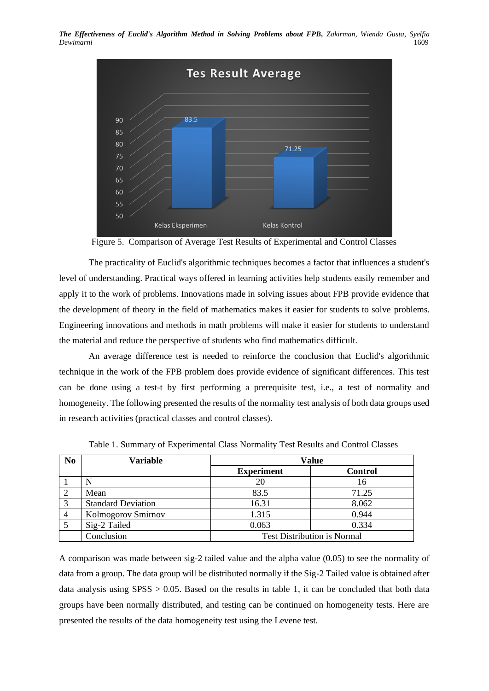**The Effectiveness of Euclid's Algorithm Method in Solving Problems about FPB, Zakirman, Wienda Gusta, Syelfia** *Dewimarni* **1609** *Dewimarni* 1609



Figure 5. Comparison of Average Test Results of Experimental and Control Classes

The practicality of Euclid's algorithmic techniques becomes a factor that influences a student's level of understanding. Practical ways offered in learning activities help students easily remember and apply it to the work of problems. Innovations made in solving issues about FPB provide evidence that the development of theory in the field of mathematics makes it easier for students to solve problems. Engineering innovations and methods in math problems will make it easier for students to understand the material and reduce the perspective of students who find mathematics difficult.

An average difference test is needed to reinforce the conclusion that Euclid's algorithmic technique in the work of the FPB problem does provide evidence of significant differences. This test can be done using a test-t by first performing a prerequisite test, i.e., a test of normality and homogeneity. The following presented the results of the normality test analysis of both data groups used in research activities (practical classes and control classes).

| N <sub>0</sub> | <b>Variable</b>           | <b>Value</b>                       |                |  |
|----------------|---------------------------|------------------------------------|----------------|--|
|                |                           | <b>Experiment</b>                  | <b>Control</b> |  |
|                |                           | 20                                 | 16             |  |
| 2              | Mean                      | 83.5                               | 71.25          |  |
| 3              | <b>Standard Deviation</b> | 16.31                              | 8.062          |  |
| $\overline{4}$ | Kolmogorov Smirnov        | 1.315                              | 0.944          |  |
|                | Sig-2 Tailed              | 0.063                              | 0.334          |  |
|                | Conclusion                | <b>Test Distribution is Normal</b> |                |  |

Table 1. Summary of Experimental Class Normality Test Results and Control Classes

A comparison was made between sig-2 tailed value and the alpha value (0.05) to see the normality of data from a group. The data group will be distributed normally if the Sig-2 Tailed value is obtained after data analysis using SPSS > 0.05. Based on the results in table 1, it can be concluded that both data groups have been normally distributed, and testing can be continued on homogeneity tests. Here are presented the results of the data homogeneity test using the Levene test.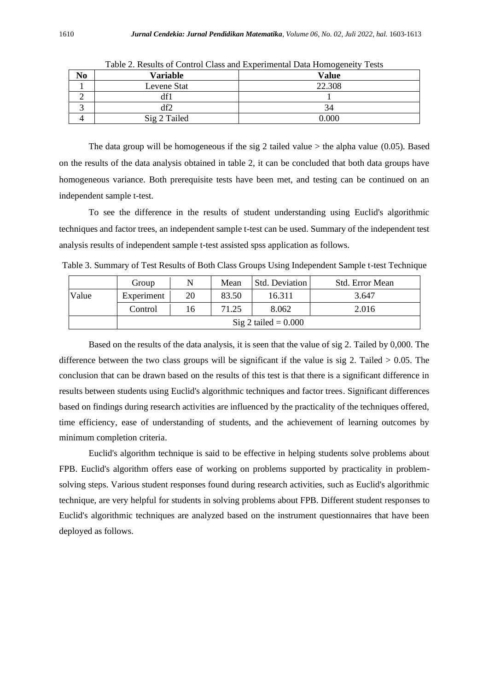| $\bf{N}$ o | Variable     | <b>Value</b> |
|------------|--------------|--------------|
|            | Levene Stat  | 22.308       |
|            | df1          |              |
|            | df2          | 34           |
|            | Sig 2 Tailed | 0.000        |

Table 2. Results of Control Class and Experimental Data Homogeneity Tests

The data group will be homogeneous if the sig 2 tailed value  $>$  the alpha value (0.05). Based on the results of the data analysis obtained in table 2, it can be concluded that both data groups have homogeneous variance. Both prerequisite tests have been met, and testing can be continued on an independent sample t-test.

To see the difference in the results of student understanding using Euclid's algorithmic techniques and factor trees, an independent sample t-test can be used. Summary of the independent test analysis results of independent sample t-test assisted spss application as follows.

Table 3. Summary of Test Results of Both Class Groups Using Independent Sample t-test Technique

|       | Group                  | N  | Mean  | Std. Deviation | Std. Error Mean |  |
|-------|------------------------|----|-------|----------------|-----------------|--|
| Value | Experiment             | 20 | 83.50 | 16.311         | 3.647           |  |
|       | Control                | 16 | 71.25 | 8.062          | 2.016           |  |
|       | Sig 2 tailed $= 0.000$ |    |       |                |                 |  |

Based on the results of the data analysis, it is seen that the value of sig 2. Tailed by 0,000. The difference between the two class groups will be significant if the value is sig 2. Tailed  $> 0.05$ . The conclusion that can be drawn based on the results of this test is that there is a significant difference in results between students using Euclid's algorithmic techniques and factor trees. Significant differences based on findings during research activities are influenced by the practicality of the techniques offered, time efficiency, ease of understanding of students, and the achievement of learning outcomes by minimum completion criteria.

Euclid's algorithm technique is said to be effective in helping students solve problems about FPB. Euclid's algorithm offers ease of working on problems supported by practicality in problemsolving steps. Various student responses found during research activities, such as Euclid's algorithmic technique, are very helpful for students in solving problems about FPB. Different student responses to Euclid's algorithmic techniques are analyzed based on the instrument questionnaires that have been deployed as follows.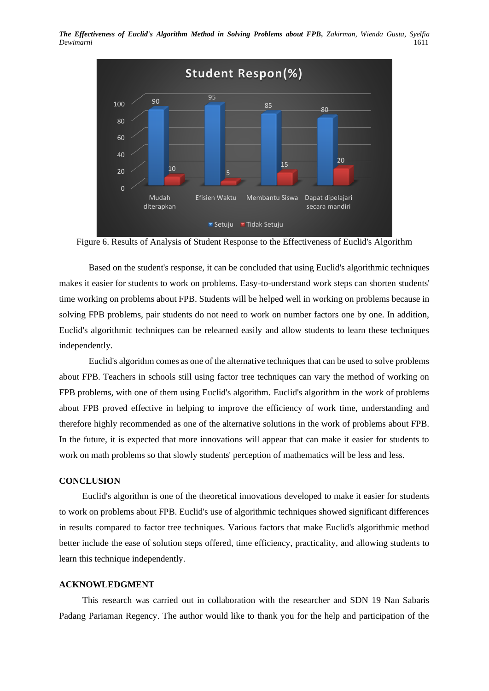*The Effectiveness of Euclid's Algorithm Method in Solving Problems about FPB, Zakirman, Wienda Gusta, Syelfia**Dewimarni* **1611** *Dewimarni* 1611



Figure 6. Results of Analysis of Student Response to the Effectiveness of Euclid's Algorithm

Based on the student's response, it can be concluded that using Euclid's algorithmic techniques makes it easier for students to work on problems. Easy-to-understand work steps can shorten students' time working on problems about FPB. Students will be helped well in working on problems because in solving FPB problems, pair students do not need to work on number factors one by one. In addition, Euclid's algorithmic techniques can be relearned easily and allow students to learn these techniques independently.

Euclid's algorithm comes as one of the alternative techniques that can be used to solve problems about FPB. Teachers in schools still using factor tree techniques can vary the method of working on FPB problems, with one of them using Euclid's algorithm. Euclid's algorithm in the work of problems about FPB proved effective in helping to improve the efficiency of work time, understanding and therefore highly recommended as one of the alternative solutions in the work of problems about FPB. In the future, it is expected that more innovations will appear that can make it easier for students to work on math problems so that slowly students' perception of mathematics will be less and less.

### **CONCLUSION**

Euclid's algorithm is one of the theoretical innovations developed to make it easier for students to work on problems about FPB. Euclid's use of algorithmic techniques showed significant differences in results compared to factor tree techniques. Various factors that make Euclid's algorithmic method better include the ease of solution steps offered, time efficiency, practicality, and allowing students to learn this technique independently.

#### **ACKNOWLEDGMENT**

This research was carried out in collaboration with the researcher and SDN 19 Nan Sabaris Padang Pariaman Regency. The author would like to thank you for the help and participation of the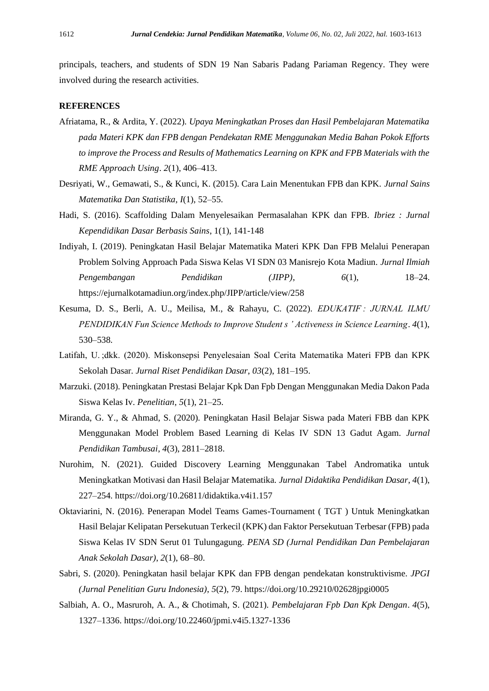principals, teachers, and students of SDN 19 Nan Sabaris Padang Pariaman Regency. They were involved during the research activities.

### **REFERENCES**

- Afriatama, R., & Ardita, Y. (2022). *Upaya Meningkatkan Proses dan Hasil Pembelajaran Matematika pada Materi KPK dan FPB dengan Pendekatan RME Menggunakan Media Bahan Pokok Efforts to improve the Process and Results of Mathematics Learning on KPK and FPB Materials with the RME Approach Using*. *2*(1), 406–413.
- Desriyati, W., Gemawati, S., & Kunci, K. (2015). Cara Lain Menentukan FPB dan KPK. *Jurnal Sains Matematika Dan Statistika*, *I*(1), 52–55.
- Hadi, S. (2016). Scaffolding Dalam Menyelesaikan Permasalahan KPK dan FPB. *Ibriez : Jurnal Kependidikan Dasar Berbasis Sains*, 1(1), 141-148
- Indiyah, I. (2019). Peningkatan Hasil Belajar Matematika Materi KPK Dan FPB Melalui Penerapan Problem Solving Approach Pada Siswa Kelas VI SDN 03 Manisrejo Kota Madiun. *Jurnal Ilmiah Pengembangan Pendidikan (JIPP)*, *6*(1), 18–24. https://ejurnalkotamadiun.org/index.php/JIPP/article/view/258
- Kesuma, D. S., Berli, A. U., Meilisa, M., & Rahayu, C. (2022). *EDUKATIF : JURNAL ILMU PENDIDIKAN Fun Science Methods to Improve Student s ' Activeness in Science Learning*. *4*(1), 530–538.
- Latifah, U. ;dkk. (2020). Miskonsepsi Penyelesaian Soal Cerita Matematika Materi FPB dan KPK Sekolah Dasar. *Jurnal Riset Pendidikan Dasar*, *03*(2), 181–195.
- Marzuki. (2018). Peningkatan Prestasi Belajar Kpk Dan Fpb Dengan Menggunakan Media Dakon Pada Siswa Kelas Iv. *Penelitian*, *5*(1), 21–25.
- Miranda, G. Y., & Ahmad, S. (2020). Peningkatan Hasil Belajar Siswa pada Materi FBB dan KPK Menggunakan Model Problem Based Learning di Kelas IV SDN 13 Gadut Agam. *Jurnal Pendidikan Tambusai*, *4*(3), 2811–2818.
- Nurohim, N. (2021). Guided Discovery Learning Menggunakan Tabel Andromatika untuk Meningkatkan Motivasi dan Hasil Belajar Matematika. *Jurnal Didaktika Pendidikan Dasar*, *4*(1), 227–254. https://doi.org/10.26811/didaktika.v4i1.157
- Oktaviarini, N. (2016). Penerapan Model Teams Games-Tournament ( TGT ) Untuk Meningkatkan Hasil Belajar Kelipatan Persekutuan Terkecil (KPK) dan Faktor Persekutuan Terbesar (FPB) pada Siswa Kelas IV SDN Serut 01 Tulungagung. *PENA SD (Jurnal Pendidikan Dan Pembelajaran Anak Sekolah Dasar)*, *2*(1), 68–80.
- Sabri, S. (2020). Peningkatan hasil belajar KPK dan FPB dengan pendekatan konstruktivisme. *JPGI (Jurnal Penelitian Guru Indonesia)*, *5*(2), 79. https://doi.org/10.29210/02628jpgi0005
- Salbiah, A. O., Masruroh, A. A., & Chotimah, S. (2021). *Pembelajaran Fpb Dan Kpk Dengan*. *4*(5), 1327–1336. https://doi.org/10.22460/jpmi.v4i5.1327-1336